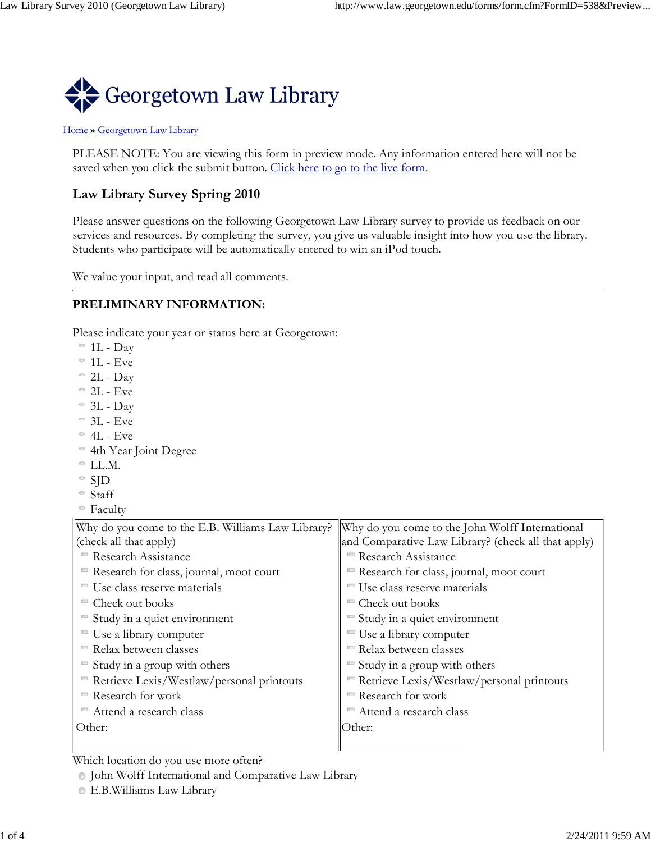

#### Home **»** Georgetown Law Library

PLEASE NOTE: You are viewing this form in preview mode. Any information entered here will not be saved when you click the submit button. Click here to go to the live form.

# **Law Library Survey Spring 2010**

Please answer questions on the following Georgetown Law Library survey to provide us feedback on our services and resources. By completing the survey, you give us valuable insight into how you use the library. Students who participate will be automatically entered to win an iPod touch.

We value your input, and read all comments.

#### **PRELIMINARY INFORMATION:**

Please indicate your year or status here at Georgetown:

- $\degree$  1L Day
- $^{\circ}$  1L Eve
- $\degree$  2L Day
- $\degree$  2L Eve
- $\degree$  3L Day
- $\degree$  3L Eve
- $^{\circ}$  4L Eve
- 4th Year Joint Degree
- $\degree$  LL.M.
- $\degree$  SJD
- Staff
- Faculty

| Why do you come to the E.B. Williams Law Library? | Why do you come to the John Wolff International     |  |
|---------------------------------------------------|-----------------------------------------------------|--|
| (check all that apply)                            | and Comparative Law Library? (check all that apply) |  |
| <b>Research Assistance</b>                        | <b>Research Assistance</b>                          |  |
| Research for class, journal, moot court           | Research for class, journal, moot court             |  |
| ■ Use class reserve materials                     | Use class reserve materials                         |  |
| Check out books                                   | Check out books                                     |  |
| Study in a quiet environment                      | Study in a quiet environment                        |  |
| " Use a library computer                          | Use a library computer                              |  |
| Relax between classes                             | Relax between classes                               |  |
| Study in a group with others                      | Study in a group with others                        |  |
| Retrieve Lexis/Westlaw/personal printouts         | Retrieve Lexis/Westlaw/personal printouts           |  |
| Research for work                                 | Research for work                                   |  |
| Attend a research class                           | Attend a research class                             |  |
| Other:                                            | Other:                                              |  |
|                                                   |                                                     |  |

Which location do you use more often?

John Wolff International and Comparative Law Library

E.B.Williams Law Library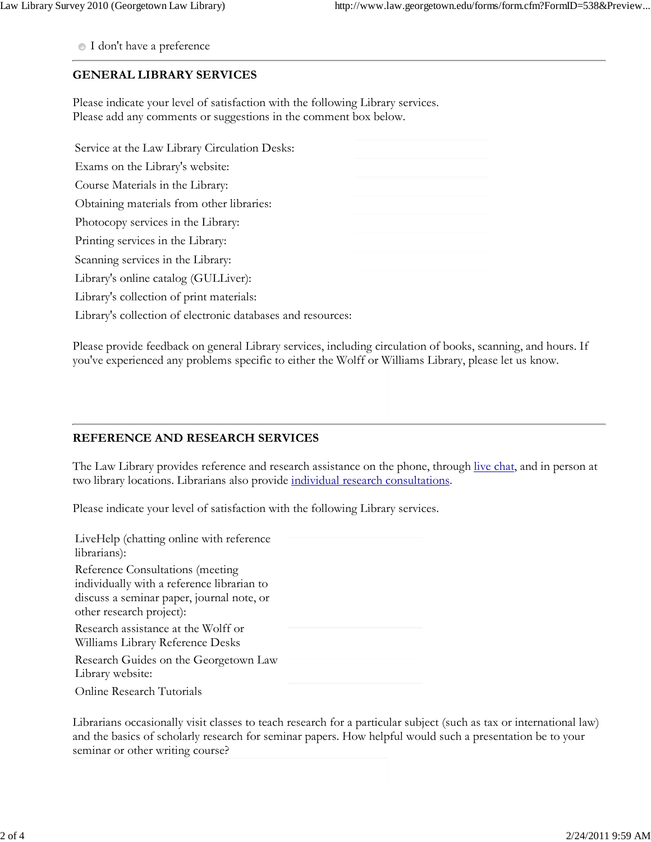I don't have a preference

## **GENERAL LIBRARY SERVICES**

Please indicate your level of satisfaction with the following Library services. Please add any comments or suggestions in the comment box below.

| Service at the Law Library Circulation Desks:               |  |
|-------------------------------------------------------------|--|
| Exams on the Library's website:                             |  |
| Course Materials in the Library:                            |  |
| Obtaining materials from other libraries:                   |  |
| Photocopy services in the Library:                          |  |
| Printing services in the Library:                           |  |
| Scanning services in the Library:                           |  |
| Library's online catalog (GULLiver):                        |  |
| Library's collection of print materials:                    |  |
| Library's collection of electronic databases and resources: |  |

Please provide feedback on general Library services, including circulation of books, scanning, and hours. If you've experienced any problems specific to either the Wolff or Williams Library, please let us know.

# **REFERENCE AND RESEARCH SERVICES**

The Law Library provides reference and research assistance on the phone, through live chat, and in person at two library locations. Librarians also provide individual research consultations.

Please indicate your level of satisfaction with the following Library services.

| LiveHelp (chatting online with reference<br>librarians):                                                                                                |  |
|---------------------------------------------------------------------------------------------------------------------------------------------------------|--|
| Reference Consultations (meeting<br>individually with a reference librarian to<br>discuss a seminar paper, journal note, or<br>other research project): |  |
| Research assistance at the Wolff or<br>Williams Library Reference Desks                                                                                 |  |
| Research Guides on the Georgetown Law<br>Library website:                                                                                               |  |
| <b>Online Research Tutorials</b>                                                                                                                        |  |

Librarians occasionally visit classes to teach research for a particular subject (such as tax or international law) and the basics of scholarly research for seminar papers. How helpful would such a presentation be to your seminar or other writing course?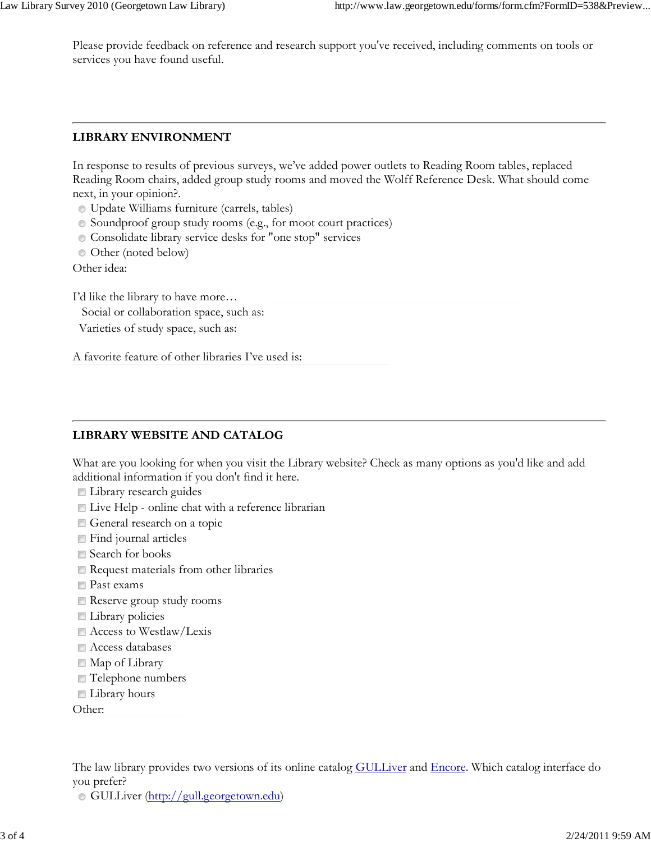Please provide feedback on reference and research support you've received, including comments on tools or services you have found useful.

#### **LIBRARY ENVIRONMENT**

In response to results of previous surveys, we've added power outlets to Reading Room tables, replaced Reading Room chairs, added group study rooms and moved the Wolff Reference Desk. What should come next, in your opinion?.

- Update Williams furniture (carrels, tables)
- Soundproof group study rooms (e.g., for moot court practices)
- Consolidate library service desks for "one stop" services
- Other (noted below)

Other idea:

I'd like the library to have more…

Social or collaboration space, such as:

Varieties of study space, such as:

A favorite feature of other libraries I've used is:

# **LIBRARY WEBSITE AND CATALOG**

What are you looking for when you visit the Library website? Check as many options as you'd like and add additional information if you don't find it here.

- **Library research guides**
- Live Help online chat with a reference librarian
- General research on a topic
- **Find journal articles**
- Search for books
- Request materials from other libraries
- **Past exams**
- Reserve group study rooms
- **Library policies**
- Access to Westlaw/Lexis
- $\blacksquare$  Access databases
- Map of Library
- Telephone numbers
- Library hours

Other:

The law library provides two versions of its online catalog **GULLiver** and *Encore*. Which catalog interface do you prefer?

GULLiver (http://gull.georgetown.edu)